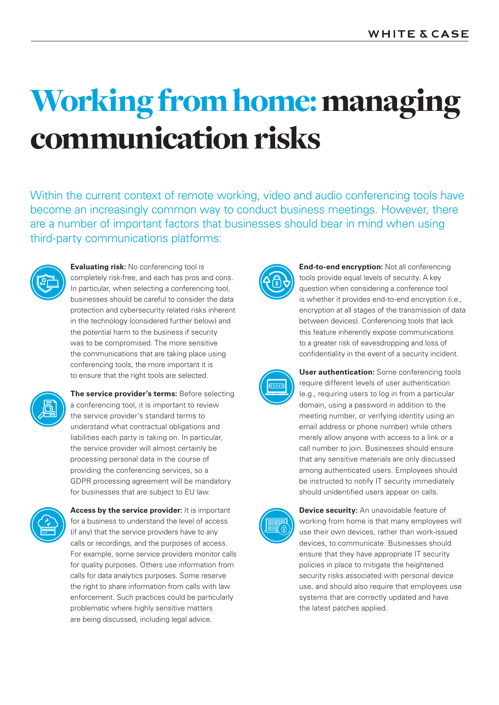# Working from home: managing communication risks

Within the current context of remote working, video and audio conferencing tools have become an increasingly common way to conduct business meetings. However, there are a number of important factors that businesses should bear in mind when using third-party communications platforms:



**Evaluating risk:** No conferencing tool is completely risk-free, and each has pros and cons. In particular, when selecting a conferencing tool, businesses should be careful to consider the data protection and cybersecurity related risks inherent in the technology (considered further below) and the potential harm to the business if security was to be compromised. The more sensitive the communications that are taking place using conferencing tools, the more important it is to ensure that the right tools are selected.



**The service provider's terms:** Before selecting a conferencing tool, it is important to review the service provider's standard terms to understand what contractual obligations and liabilities each party is taking on. In particular, the service provider will almost certainly be processing personal data in the course of providing the conferencing services, so a GDPR processing agreement will be mandatory for businesses that are subject to EU law.



**Access by the service provider:** It is important for a business to understand the level of access (if any) that the service providers have to any calls or recordings, and the purposes of access. For example, some service providers monitor calls for quality purposes. Others use information from calls for data analytics purposes. Some reserve the right to share information from calls with law enforcement. Such practices could be particularly problematic where highly sensitive matters are being discussed, including legal advice.



**End-to-end encryption:** Not all conferencing tools provide equal levels of security. A key question when considering a conference tool is whether it provides end-to-end encryption (i.e., encryption at all stages of the transmission of data between devices). Conferencing tools that lack this feature inherently expose communications to a greater risk of eavesdropping and loss of confidentiality in the event of a security incident.



**User authentication:** Some conferencing tools require different levels of user authentication (e.g., requiring users to log in from a particular domain, using a password in addition to the meeting number, or verifying identity using an email address or phone number) while others merely allow anyone with access to a link or a call number to join. Businesses should ensure that any sensitive materials are only discussed among authenticated users. Employees should be instructed to notify IT security immediately should unidentified users appear on calls.



**Device security:** An unavoidable feature of working from home is that many employees will use their own devices, rather than work-issued devices, to communicate. Businesses should ensure that they have appropriate IT security policies in place to mitigate the heightened security risks associated with personal device use, and should also require that employees use systems that are correctly updated and have the latest patches applied.